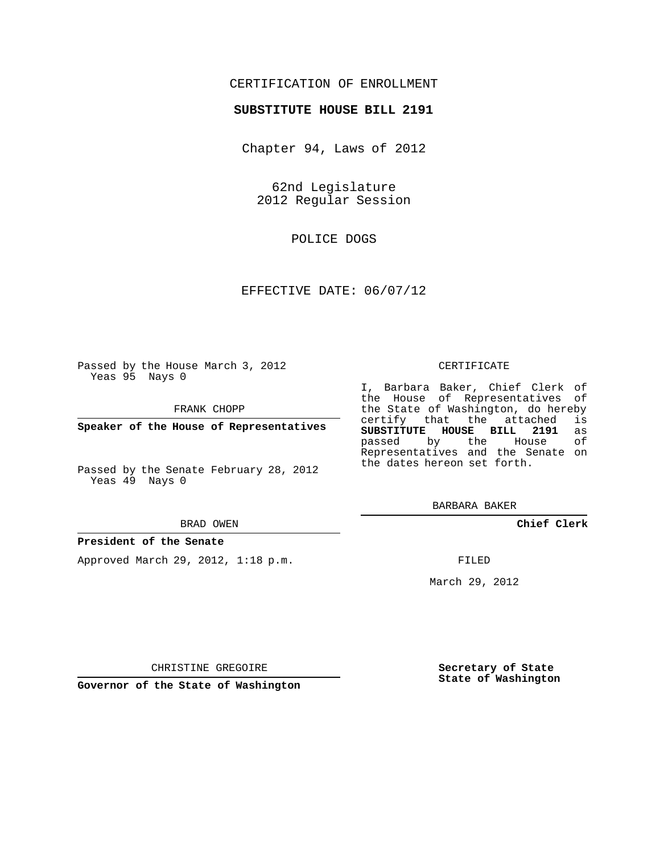## CERTIFICATION OF ENROLLMENT

### **SUBSTITUTE HOUSE BILL 2191**

Chapter 94, Laws of 2012

62nd Legislature 2012 Regular Session

POLICE DOGS

## EFFECTIVE DATE: 06/07/12

Passed by the House March 3, 2012 Yeas 95 Nays 0

FRANK CHOPP

**Speaker of the House of Representatives**

Passed by the Senate February 28, 2012 Yeas 49 Nays 0

#### BRAD OWEN

#### **President of the Senate**

Approved March 29, 2012, 1:18 p.m.

#### CERTIFICATE

I, Barbara Baker, Chief Clerk of the House of Representatives of the State of Washington, do hereby<br>certify that the attached is certify that the attached **SUBSTITUTE HOUSE BILL 2191** as passed by the Representatives and the Senate on the dates hereon set forth.

BARBARA BAKER

**Chief Clerk**

FILED

March 29, 2012

**Secretary of State State of Washington**

CHRISTINE GREGOIRE

**Governor of the State of Washington**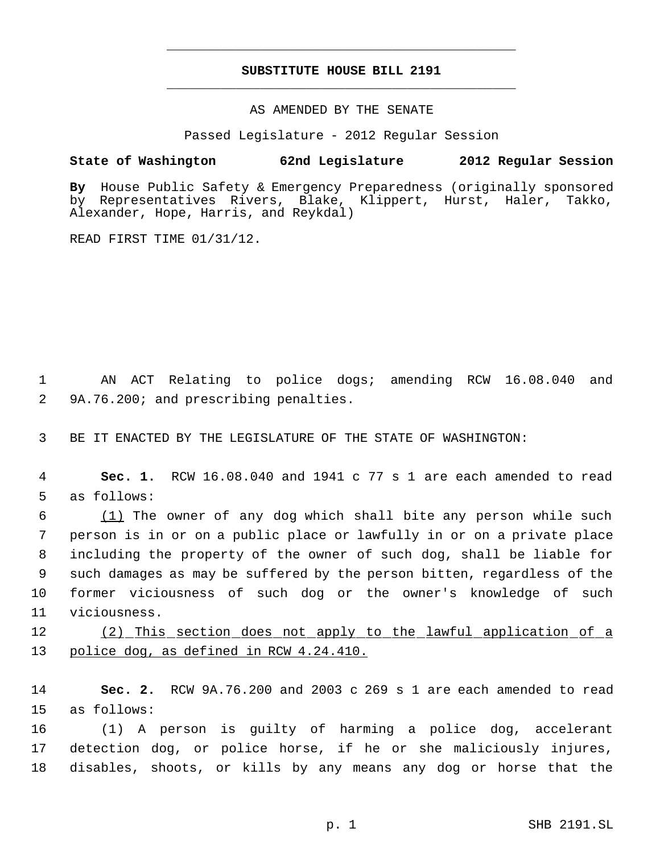# **SUBSTITUTE HOUSE BILL 2191** \_\_\_\_\_\_\_\_\_\_\_\_\_\_\_\_\_\_\_\_\_\_\_\_\_\_\_\_\_\_\_\_\_\_\_\_\_\_\_\_\_\_\_\_\_

\_\_\_\_\_\_\_\_\_\_\_\_\_\_\_\_\_\_\_\_\_\_\_\_\_\_\_\_\_\_\_\_\_\_\_\_\_\_\_\_\_\_\_\_\_

### AS AMENDED BY THE SENATE

Passed Legislature - 2012 Regular Session

### **State of Washington 62nd Legislature 2012 Regular Session**

**By** House Public Safety & Emergency Preparedness (originally sponsored by Representatives Rivers, Blake, Klippert, Hurst, Haler, Takko, Alexander, Hope, Harris, and Reykdal)

READ FIRST TIME 01/31/12.

 1 AN ACT Relating to police dogs; amending RCW 16.08.040 and 2 9A.76.200; and prescribing penalties.

3 BE IT ENACTED BY THE LEGISLATURE OF THE STATE OF WASHINGTON:

 4 **Sec. 1.** RCW 16.08.040 and 1941 c 77 s 1 are each amended to read 5 as follows:

 $(1)$  The owner of any dog which shall bite any person while such person is in or on a public place or lawfully in or on a private place including the property of the owner of such dog, shall be liable for such damages as may be suffered by the person bitten, regardless of the former viciousness of such dog or the owner's knowledge of such viciousness.

12 (2) This section does not apply to the lawful application of a 13 police dog, as defined in RCW 4.24.410.

14 **Sec. 2.** RCW 9A.76.200 and 2003 c 269 s 1 are each amended to read 15 as follows:

16 (1) A person is guilty of harming a police dog, accelerant 17 detection dog, or police horse, if he or she maliciously injures, 18 disables, shoots, or kills by any means any dog or horse that the